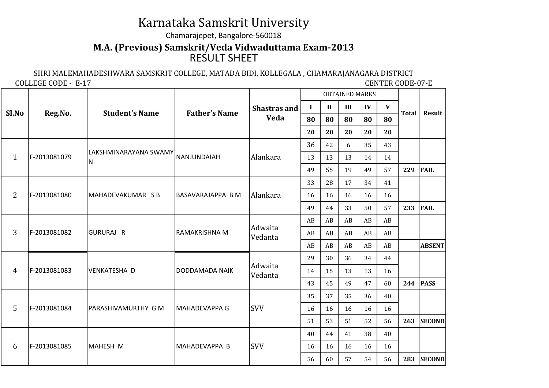## Karnataka Samskrit University

## Chamarajepet, Bangalore-560018

## RESULT SHEET**M.A. (Previous) Samskrit/Veda Vidwaduttama Exam-2013**

SHRI MALEMAHADESHWARA SAMSKRIT COLLEGE, MATADA BIDI, KOLLEGALA , CHAMARAJANAGARA DISTRICT

COLLEGE CODE - E-17

**CENTER CODE-07-E** 

| Sl.No          | Reg.No.      | <b>Student's Name</b>      | <b>Father's Name</b>     |                     | <b>OBTAINED MARKS</b>      |                      |     |             |              |               |               |
|----------------|--------------|----------------------------|--------------------------|---------------------|----------------------------|----------------------|-----|-------------|--------------|---------------|---------------|
|                |              |                            |                          | <b>Shastras and</b> | $\mathbf I$                | $\mathbf{I}$         | III | IV          | $\mathbf{V}$ | <b>Total</b>  | Result        |
|                |              |                            |                          | Veda                | 80                         | 80                   | 80  | 80          | 80           |               |               |
|                |              |                            |                          |                     | 20                         | 20                   | 20  | 20          | 20           |               |               |
|                | F-2013081079 | LAKSHMINARAYANA SWAMY<br>N | NANJUNDAIAH              |                     | 36                         | 42                   | 6   | 35          | 43           |               |               |
| $\mathbf{1}$   |              |                            |                          | Alankara            | 13<br>49                   | 13                   | 13  | 14          | 14           |               |               |
|                |              |                            |                          |                     |                            | 55                   | 19  | 49          | 57           | 229           | <b>FAIL</b>   |
|                | F-2013081080 | MAHADEVAKUMAR SB           | <b>BASAVARAJAPPA B M</b> |                     | 33                         | 28                   | 17  | 34          | 41           |               |               |
| $\overline{2}$ |              |                            |                          | Alankara            | 16                         | 16                   | 16  | 16          | 16           |               |               |
|                |              |                            |                          |                     | 49                         | 44                   | 33  | 50          | 57           | 233           | <b>FAIL</b>   |
|                | F-2013081082 | <b>GURURAJ R</b>           |                          |                     | AB<br>AB<br>AB<br>AB<br>AB |                      |     |             |              |               |               |
| 3              |              |                            | RAMAKRISHNA M            | Adwaita<br>Vedanta  | AB                         | AB<br>AB<br>AB<br>AB |     |             |              |               |               |
|                |              |                            |                          |                     | AB                         | AB                   | AB  | AB<br>AB    |              | <b>ABSENT</b> |               |
|                | F-2013081083 | <b>VENKATESHA D</b>        | DODDAMADA NAIK           |                     | 29                         | 30                   | 36  | 34          | 44           |               |               |
| 4              |              |                            |                          | Adwaita<br>Vedanta  | 14                         | 15                   | 13  | 13          | 16           |               |               |
|                |              |                            |                          |                     | 43                         | 45<br>47<br>49<br>60 | 244 | <b>PASS</b> |              |               |               |
|                | F-2013081084 | PARASHIVAMURTHY G M        | <b>MAHADEVAPPA G</b>     |                     | 35                         | 37                   | 35  | 36          | 40           |               |               |
| 5              |              |                            |                          | <b>SVV</b>          | 16                         | 16                   | 16  | 16          | 16           |               |               |
|                |              |                            |                          |                     | 51                         | 53                   | 51  | 52          | 56           | 263           | <b>SECOND</b> |
|                | F-2013081085 | MAHESH M                   | MAHADEVAPPA B            |                     | 40                         | 44                   | 41  | 38          | 40           |               |               |
| 6              |              |                            |                          | <b>SVV</b>          | 16                         | 16                   | 16  | 16          | 16           |               |               |
|                |              |                            |                          |                     | 56                         | 60                   | 57  | 54          | 56           | 283           | <b>SECOND</b> |